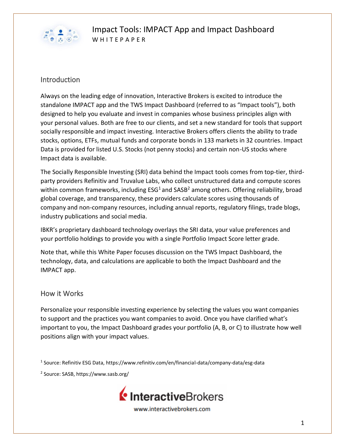

### **Introduction**

Always on the leading edge of innovation, Interactive Brokers is excited to introduce the standalone IMPACT app and the TWS Impact Dashboard (referred to as "Impact tools"), both designed to help you evaluate and invest in companies whose business principles align with your personal values. Both are free to our clients, and set a new standard for tools that support socially responsible and impact investing. Interactive Brokers offers clients the ability to trade stocks, options, ETFs, mutual funds and corporate bonds in 133 markets in 32 countries. Impact Data is provided for listed U.S. Stocks (not penny stocks) and certain non-US stocks where Impact data is available.

The Socially Responsible Investing (SRI) data behind the Impact tools comes from top-tier, thirdparty providers Refinitiv and Truvalue Labs, who collect unstructured data and compute scores within common frameworks, including  $ESG<sup>1</sup>$  and  $SASB<sup>2</sup>$  among others. Offering reliability, broad global coverage, and transparency, these providers calculate scores using thousands of company and non-company resources, including annual reports, regulatory filings, trade blogs, industry publications and social media.

IBKR's proprietary dashboard technology overlays the SRI data, your value preferences and your portfolio holdings to provide you with a single Portfolio Impact Score letter grade.

Note that, while this White Paper focuses discussion on the TWS Impact Dashboard, the technology, data, and calculations are applicable to both the Impact Dashboard and the IMPACT app.

#### How it Works

Personalize your responsible investing experience by selecting the values you want companies to support and the practices you want companies to avoid. Once you have clarified what's important to you, the Impact Dashboard grades your portfolio (A, B, or C) to illustrate how well positions align with your impact values.

1 Source: Refinitiv ESG Data, https://www.refinitiv.com/en/financial-data/company-data/esg-data

2 Source: SASB, https://www.sasb.org/

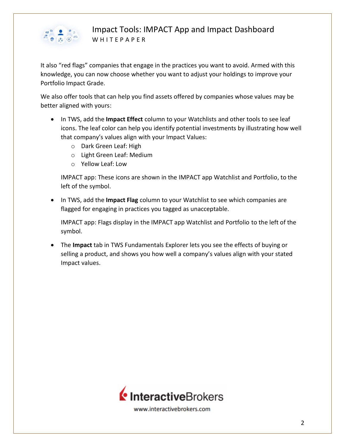

It also "red flags" companies that engage in the practices you want to avoid. Armed with this knowledge, you can now choose whether you want to adjust your holdings to improve your Portfolio Impact Grade.

We also offer tools that can help you find assets offered by companies whose values may be better aligned with yours:

- In TWS, add the **Impact Effect** column to your Watchlists and other tools to see leaf icons. The leaf color can help you identify potential investments by illustrating how well that company's values align with your Impact Values:
	- o Dark Green Leaf: High
	- o Light Green Leaf: Medium
	- o Yellow Leaf: Low

IMPACT app: These icons are shown in the IMPACT app Watchlist and Portfolio, to the left of the symbol.

• In TWS, add the **Impact Flag** column to your Watchlist to see which companies are flagged for engaging in practices you tagged as unacceptable.

IMPACT app: Flags display in the IMPACT app Watchlist and Portfolio to the left of the symbol.

• The **Impact** tab in TWS Fundamentals Explorer lets you see the effects of buying or selling a product, and shows you how well a company's values align with your stated Impact values.

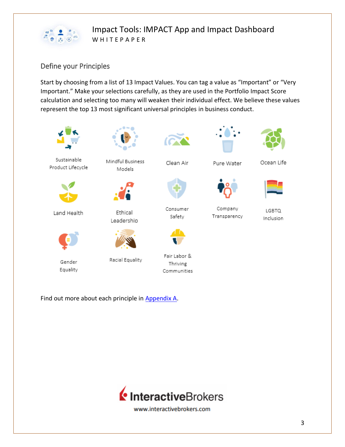

### Define your Principles

Start by choosing from a list of 13 Impact Values. You can tag a value as "Important" or "Very Important." Make your selections carefully, as they are used in the Portfolio Impact Score calculation and selecting too many will weaken their individual effect. We believe these values represent the top 13 most significant universal principles in business conduct.



Find out more about each principle in Appendix A.

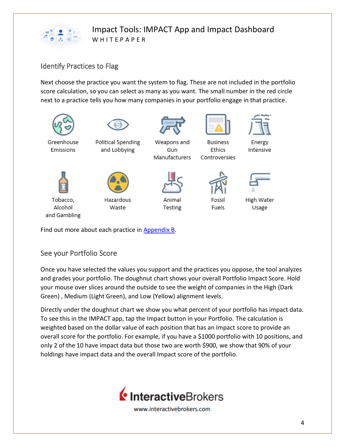

### Identify Practices to Flag

Next choose the practice you want the system to flag. These are not included in the portfolio score calculation, so you can select as many as you want. The small number in the red circle next to a practice tells you how many companies in your portfolio engage in that practice.



Find out more about each practice in Appendix B.

### See your Portfolio Score

Once you have selected the values you support and the practices you oppose, the tool analyzes and grades your portfolio. The doughnut chart shows your overall Portfolio Impact Score. Hold your mouse over slices around the outside to see the weight of companies in the High (Dark Green) , Medium (Light Green), and Low (Yellow) alignment levels.

Directly under the doughnut chart we show you what percent of your portfolio has impact data. To see this in the IMPACT app, tap the Impact button in your Portfolio. The calculation is weighted based on the dollar value of each position that has an Impact score to provide an overall score for the portfolio. For example, if you have a \$1000 portfolio with 10 positions, and only 2 of the 10 have impact data but those two are worth \$900, we show that 90% of your holdings have impact data and the overall Impact score of the portfolio.

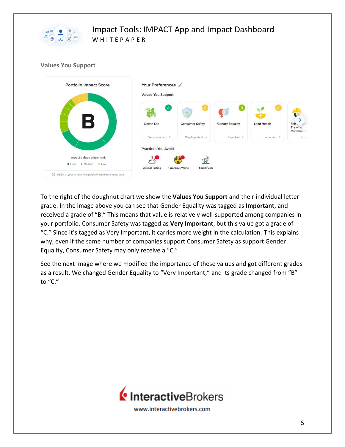

#### **Values You Support**



To the right of the doughnut chart we show the **Values You Support** and their individual letter grade. In the image above you can see that Gender Equality was tagged as **Important**, and received a grade of "B." This means that value is relatively well-supported among companies in your portfolio. Consumer Safety was tagged as **Very Important**, but this value got a grade of "C." Since it's tagged as Very Important, it carries more weight in the calculation. This explains why, even if the same number of companies support Consumer Safety as support Gender Equality, Consumer Safety may only receive a "C."

See the next image where we modified the importance of these values and got different grades as a result. We changed Gender Equality to "Very Important," and its grade changed from "B" to "C."

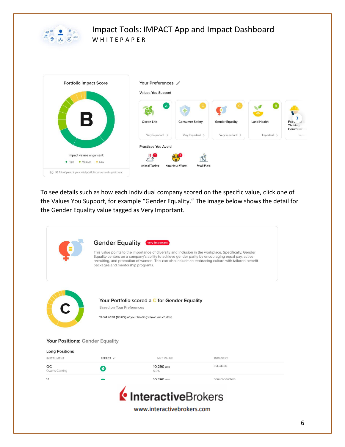



To see details such as how each individual company scored on the specific value, click one of the Values You Support, for example "Gender Equality." The image below shows the detail for the Gender Equality value tagged as Very Important.

|                                     | <b>Gender Equality</b><br>packages and mentorship programs. | very important                                                                                           | This value points to the importance of diversity and inclusion in the workplace. Specifically, Gender<br>Equality centers on a company's ability to achieve gender parity by encouraging equal pay, active<br>recruiting, and promotion of women. This can also include an embracing culture with tailored benefit |
|-------------------------------------|-------------------------------------------------------------|----------------------------------------------------------------------------------------------------------|--------------------------------------------------------------------------------------------------------------------------------------------------------------------------------------------------------------------------------------------------------------------------------------------------------------------|
|                                     | Based on Your Preferences                                   | Your Portfolio scored a C for Gender Equality<br>11 out of 30 (83.6%) of your holdings have values data. |                                                                                                                                                                                                                                                                                                                    |
| Your Positions: Gender Equality     |                                                             |                                                                                                          |                                                                                                                                                                                                                                                                                                                    |
| <b>Long Positions</b><br>INSTRUMENT | EFFECT +                                                    | MKT VALUE                                                                                                | INDUSTRY                                                                                                                                                                                                                                                                                                           |
| ОC<br>Owens Corning                 | $\bullet$                                                   | 10,290 usp<br>5.0%                                                                                       | Industrials                                                                                                                                                                                                                                                                                                        |
| $\mathcal{U}$                       |                                                             | 10.290                                                                                                   | Semiconductors                                                                                                                                                                                                                                                                                                     |
|                                     |                                                             | InteractiveBrokers<br>www.interactivebrokers.com                                                         |                                                                                                                                                                                                                                                                                                                    |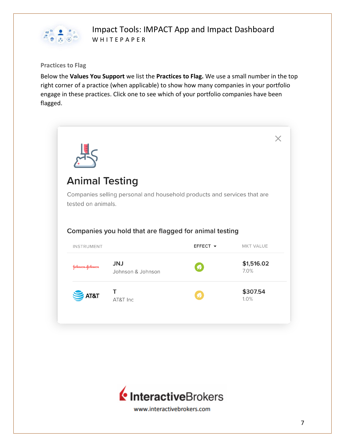

#### **Practices to Flag**

Below the **Values You Support** we list the **Practices to Flag.** We use a small number in the top right corner of a practice (when applicable) to show how many companies in your portfolio engage in these practices. Click one to see which of your portfolio companies have been flagged.



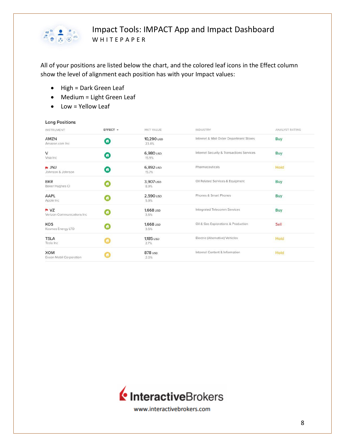

All of your positions are listed below the chart, and the colored leaf icons in the Effect column show the level of alignment each position has with your Impact values:

- High = Dark Green Leaf
- Medium = Light Green Leaf
- Low = Yellow Leaf

| <b>Long Positions</b>                            |           |                     |                                           |                |  |
|--------------------------------------------------|-----------|---------------------|-------------------------------------------|----------------|--|
| INSTRUMENT                                       | EFFECT -  | MKT VALUE           | <b>INDUSTRY</b>                           | ANALYST RATING |  |
| AMZN<br>Amazon.com Inc.                          | の         | 10,290 usp<br>23.4% | Internet & Mail Order Department Stores   | Buy            |  |
| V<br>Visa Inc.                                   | $\bullet$ | 6,980 usp<br>15.9%  | Internet Security & Transactions Services | Buy            |  |
| <b>LINU</b><br>Johnson & Johnson                 |           | 6,892 usp<br>15.7%  | Pharmaceuticals                           | Hold           |  |
| <b>BKR</b><br>Baker Hughes CI                    |           | 3,907 usp<br>8.9%   | Oil Related Services & Equipment          | Buy            |  |
| AAPL<br>Apple Inc                                |           | 2,590 usp<br>5.9%   | Phones & Smart Phones                     | Buy            |  |
| $\blacksquare$ VZ<br>Verizon Communications Inc. |           | 1,668 usp<br>3.6%   | Integrated Telecomm Services              | Buy            |  |
| <b>KOS</b><br>Kosmos Energy LTD                  |           | 1,668 usp<br>3.6%   | Oil & Gas Explorations & Production       | Sell           |  |
| <b>TSLA</b><br>Tesla Inc                         |           | 1,185 usp<br>2.7%   | Electric (Alternative) Vehicles           | Hold           |  |
| <b>XOM</b><br>Exxon Mobil Corporation            |           | 878 usp<br>2.0%     | Internet Content & Information            | Hold           |  |

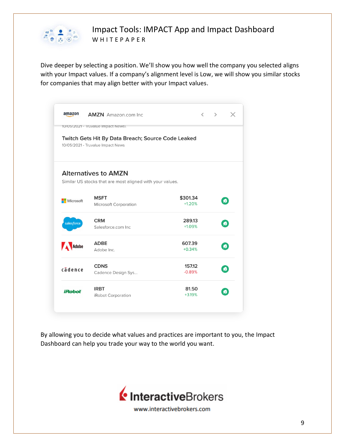

Dive deeper by selecting a position. We'll show you how well the company you selected aligns with your Impact values. If a company's alignment level is Low, we will show you similar stocks for companies that may align better with your Impact values.

|                                                                                         | <b>AMZN</b> Amazon.com Inc.                                                              |                      | $\langle \quad \rangle$<br>$\times$ |  |
|-----------------------------------------------------------------------------------------|------------------------------------------------------------------------------------------|----------------------|-------------------------------------|--|
|                                                                                         | 10/05/2021 - Iruvalue Impact News\                                                       |                      |                                     |  |
| Twitch Gets Hit By Data Breach; Source Code Leaked<br>10/05/2021 - Truvalue Impact News |                                                                                          |                      |                                     |  |
|                                                                                         | <b>Alternatives to AMZN</b><br>Similar US stocks that are most aligned with your values. |                      |                                     |  |
| Microsoft                                                                               | <b>MSFT</b><br>Microsoft Corporation                                                     | \$301.34<br>$+1.20%$ | $\bullet$                           |  |
| salesforce                                                                              | <b>CRM</b><br>Salesforce.com Inc.                                                        | 289.13<br>$+1.09%$   | $\bullet$                           |  |
| Adobe                                                                                   | <b>ADBE</b><br>Adobe Inc.                                                                | 607.39<br>$+0.34%$   | $\bullet$                           |  |
| cadence                                                                                 | <b>CDNS</b><br>Cadence Design Sys                                                        | 157.12<br>$-0.89%$   | $\bullet$                           |  |
| <b>iRoboť</b>                                                                           | <b>IRBT</b><br>iRobot Corporation                                                        | 81.50<br>$+3.19%$    |                                     |  |

By allowing you to decide what values and practices are important to you, the Impact Dashboard can help you trade your way to the world you want.

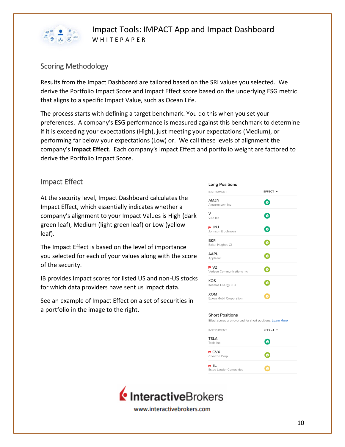

### Scoring Methodology

Results from the Impact Dashboard are tailored based on the SRI values you selected. We derive the Portfolio Impact Score and Impact Effect score based on the underlying ESG metric that aligns to a specific Impact Value, such as Ocean Life.

The process starts with defining a target benchmark. You do this when you set your preferences. A company's ESG performance is measured against this benchmark to determine if it is exceeding your expectations (High), just meeting your expectations (Medium), or performing far below your expectations (Low) or. We call these levels of alignment the company's **Impact Effect**. Each company's Impact Effect and portfolio weight are factored to derive the Portfolio Impact Score.

#### Impact Effect

At the security level, Impact Dashboard calculates the Impact Effect, which essentially indicates whether a company's alignment to your Impact Values is High (dark green leaf), Medium (light green leaf) or Low (yellow leaf).

The Impact Effect is based on the level of importance you selected for each of your values along with the score of the security.

IB provides Impact scores for listed US and non-US stocks for which data providers have sent us Impact data.

See an example of Impact Effect on a set of securities in a portfolio in the image to the right.

| <b>Long Positions</b>                    |                       |
|------------------------------------------|-----------------------|
| <b>INSTRUMENT</b>                        | EFFECT +              |
| <b>AMZN</b><br>Amazon.com Inc.           | $\boldsymbol{\eta}$   |
| v<br>Visa Inc.                           | $\bullet$             |
| $\blacksquare$ JNJ<br>Johnson & Johnson  | $\boldsymbol{\theta}$ |
| <b>BKR</b><br>Baker Hughes Cl            | の                     |
| AAPL<br>Apple Inc                        | ø                     |
| $\sim$ VZ<br>Verizon Communications Inc. | ø                     |
| <b>KOS</b><br>Kosmos Energy LTD          | Ø                     |
| <b>XOM</b><br>Exxon Mobil Corporation    |                       |
|                                          |                       |

#### **Short Positions**

Effect scores are reversed for short positions. Learn More

| <b>INSTRUMENT</b>                  | EFFECT +              |  |
|------------------------------------|-----------------------|--|
| <b>TSLA</b><br>Tesla Inc.          | $\boldsymbol{\varpi}$ |  |
| $\blacksquare$ CVX<br>Chevron Corp | о                     |  |
| p EL<br>Estee Lauder Companies     | Ω                     |  |

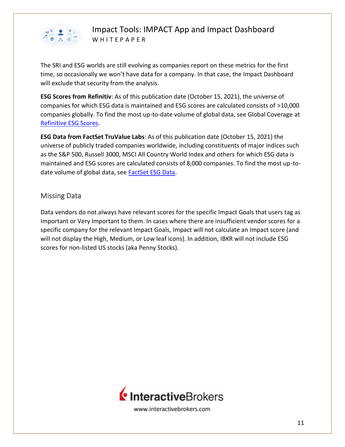

The SRI and ESG worlds are still evolving as companies report on these metrics for the first time, so occasionally we won't have data for a company. In that case, the Impact Dashboard will exclude that security from the analysis.

**ESG Scores from Refinitiv**: As of this publication date (October 15, 2021), the universe of companies for which ESG data is maintained and ESG scores are calculated consists of >10,000 companies globally. To find the most up-to-date volume of global data, see Global Coverage at [Refinitive ESG Scores.](http://#)

**ESG Data from FactSet TruValue Labs**: As of this publication date (October 15, 2021) the universe of publicly traded companies worldwide, including constituents of major indices such as the S&P 500, Russell 3000, MSCI All Country World Index and others for which ESG data is maintained and ESG scores are calculated consists of 8,000 companies. To find the most up-todate volume of global data, see [FactSet ESG Data.](http://#)

#### Missing Data

Data vendors do not always have relevant scores for the specific Impact Goals that users tag as Important or Very Important to them. In cases where there are insufficient vendor scores for a specific company for the relevant Impact Goals, Impact will not calculate an Impact score (and will not display the High, Medium, or Low leaf icons). In addition, IBKR will not include ESG scores for non-listed US stocks (aka Penny Stocks).

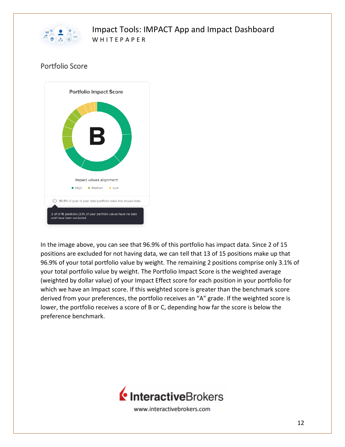

## Portfolio Score



In the image above, you can see that 96.9% of this portfolio has impact data. Since 2 of 15 positions are excluded for not having data, we can tell that 13 of 15 positions make up that 96.9% of your total portfolio value by weight. The remaining 2 positions comprise only 3.1% of your total portfolio value by weight. The Portfolio Impact Score is the weighted average (weighted by dollar value) of your Impact Effect score for each position in your portfolio for which we have an Impact score. If this weighted score is greater than the benchmark score derived from your preferences, the portfolio receives an "A" grade. If the weighted score is lower, the portfolio receives a score of B or C, depending how far the score is below the preference benchmark.

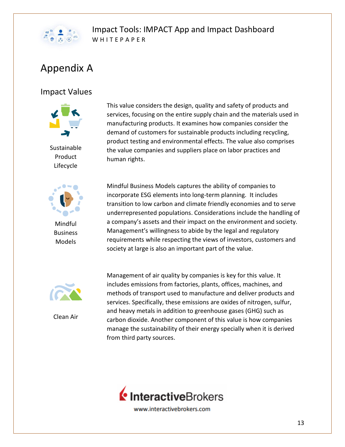

# Appendix A

# Impact Values



Sustainable Product Lifecycle



Mindful Business Models

This value considers the design, quality and safety of products and services, focusing on the entire supply chain and the materials used in manufacturing products. It examines how companies consider the demand of customers for sustainable products including recycling, product testing and environmental effects. The value also comprises the value companies and suppliers place on labor practices and human rights.

Mindful Business Models captures the ability of companies to incorporate ESG elements into long-term planning. It includes transition to low carbon and climate friendly economies and to serve underrepresented populations. Considerations include the handling of a company's assets and their impact on the environment and society. Management's willingness to abide by the legal and regulatory requirements while respecting the views of investors, customers and society at large is also an important part of the value.



Clean Air

Management of air quality by companies is key for this value. It includes emissions from factories, plants, offices, machines, and methods of transport used to manufacture and deliver products and services. Specifically, these emissions are oxides of nitrogen, sulfur, and heavy metals in addition to greenhouse gases (GHG) such as carbon dioxide. Another component of this value is how companies manage the sustainability of their energy specially when it is derived from third party sources.



www.interactivebrokers.com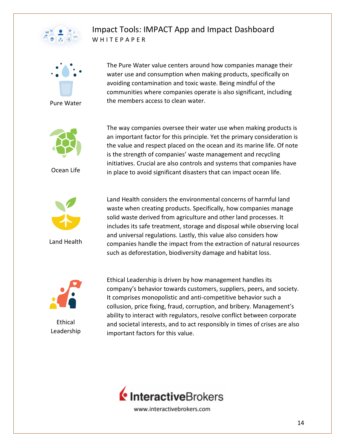



The Pure Water value centers around how companies manage their water use and consumption when making products, specifically on avoiding contamination and toxic waste. Being mindful of the communities where companies operate is also significant, including the members access to clean water.



Ocean Life



Land Health

The way companies oversee their water use when making products is an important factor for this principle. Yet the primary consideration is the value and respect placed on the ocean and its marine life. Of note is the strength of companies' waste management and recycling initiatives. Crucial are also controls and systems that companies have in place to avoid significant disasters that can impact ocean life.

Land Health considers the environmental concerns of harmful land waste when creating products. Specifically, how companies manage solid waste derived from agriculture and other land processes. It includes its safe treatment, storage and disposal while observing local and universal regulations. Lastly, this value also considers how companies handle the impact from the extraction of natural resources such as deforestation, biodiversity damage and habitat loss.



Ethical Leadership Ethical Leadership is driven by how management handles its company's behavior towards customers, suppliers, peers, and society. It comprises monopolistic and anti-competitive behavior such a collusion, price fixing, fraud, corruption, and bribery. Management's ability to interact with regulators, resolve conflict between corporate and societal interests, and to act responsibly in times of crises are also important factors for this value.

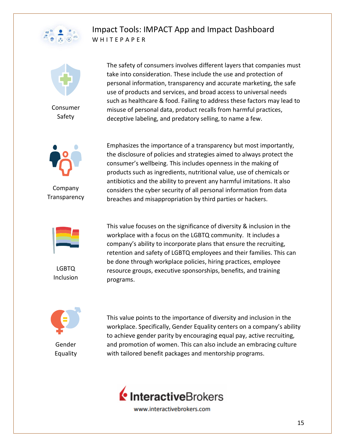



Consumer Safety



Company **Transparency** 



LGBTQ Inclusion



Emphasizes the importance of a transparency but most importantly, the disclosure of policies and strategies aimed to always protect the consumer's wellbeing. This includes openness in the making of products such as ingredients, nutritional value, use of chemicals or antibiotics and the ability to prevent any harmful imitations. It also considers the cyber security of all personal information from data breaches and misappropriation by third parties or hackers.

This value focuses on the significance of diversity & inclusion in the workplace with a focus on the LGBTQ community. It includes a company's ability to incorporate plans that ensure the recruiting, retention and safety of LGBTQ employees and their families. This can be done through workplace policies, hiring practices, employee resource groups, executive sponsorships, benefits, and training programs.



Gender Equality

This value points to the importance of diversity and inclusion in the workplace. Specifically, Gender Equality centers on a company's ability to achieve gender parity by encouraging equal pay, active recruiting, and promotion of women. This can also include an embracing culture with tailored benefit packages and mentorship programs.

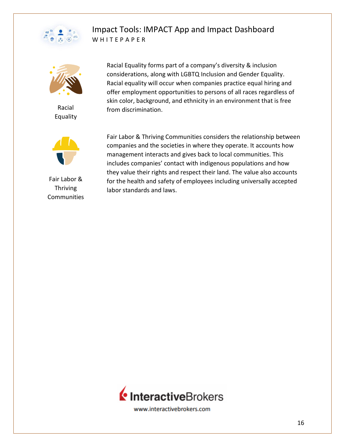



Racial Equality



Fair Labor & Thriving **Communities** 

Racial Equality forms part of a company's diversity & inclusion considerations, along with LGBTQ Inclusion and Gender Equality. Racial equality will occur when companies practice equal hiring and offer employment opportunities to persons of all races regardless of skin color, background, and ethnicity in an environment that is free from discrimination.

Fair Labor & Thriving Communities considers the relationship between companies and the societies in where they operate. It accounts how management interacts and gives back to local communities. This includes companies' contact with indigenous populations and how they value their rights and respect their land. The value also accounts for the health and safety of employees including universally accepted labor standards and laws.

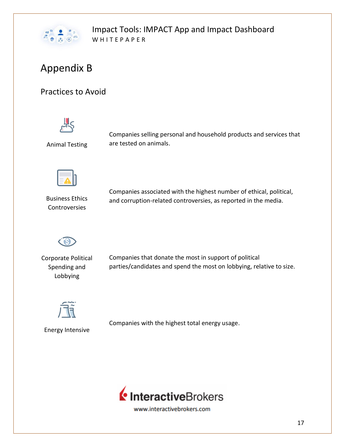

# Appendix B

# Practices to Avoid



Animal Testing

Companies selling personal and household products and services that are tested on animals.



Business Ethics Controversies

Companies associated with the highest number of ethical, political, and corruption-related controversies, as reported in the media.



Corporate Political Spending and Lobbying

Companies that donate the most in support of political parties/candidates and spend the most on lobbying, relative to size.



Energy Intensive

Companies with the highest total energy usage.

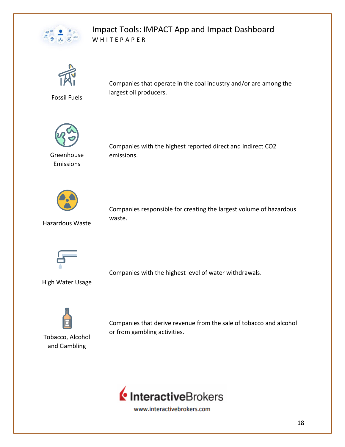



Fossil Fuels

Companies that operate in the coal industry and/or are among the largest oil producers.



Greenhouse Emissions

Companies with the highest reported direct and indirect CO2 emissions.



Hazardous Waste

Companies responsible for creating the largest volume of hazardous waste.



Companies with the highest level of water withdrawals.

High Water Usage



Tobacco, Alcohol and Gambling

Companies that derive revenue from the sale of tobacco and alcohol or from gambling activities.